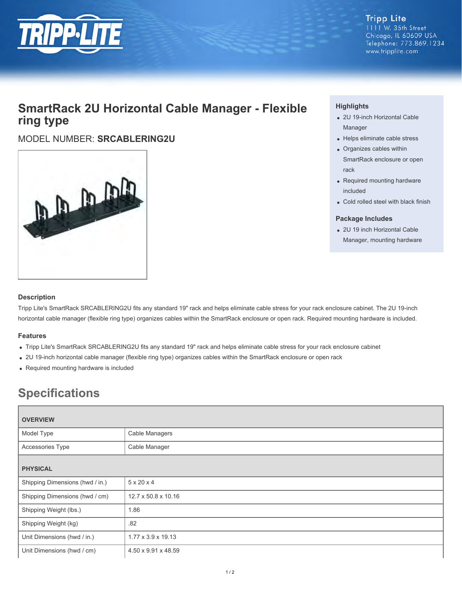

**Tripp Lite** 1111 W. 35th Street Chicago, IL 60609 USA Telephone: 773.869.1234 www.tripplite.com

## **SmartRack 2U Horizontal Cable Manager - Flexible ring type**

## MODEL NUMBER: **SRCABLERING2U**



### **Highlights**

- 2U 19-inch Horizontal Cable Manager
- Helps eliminate cable stress
- Organizes cables within SmartRack enclosure or open rack
- Required mounting hardware included
- Cold rolled steel with black finish

#### **Package Includes**

2U 19 inch Horizontal Cable Manager, mounting hardware

#### **Description**

Tripp Lite's SmartRack SRCABLERING2U fits any standard 19" rack and helps eliminate cable stress for your rack enclosure cabinet. The 2U 19-inch horizontal cable manager (flexible ring type) organizes cables within the SmartRack enclosure or open rack. Required mounting hardware is included.

#### **Features**

- Tripp Lite's SmartRack SRCABLERING2U fits any standard 19" rack and helps eliminate cable stress for your rack enclosure cabinet
- 2U 19-inch horizontal cable manager (flexible ring type) organizes cables within the SmartRack enclosure or open rack
- Required mounting hardware is included

# **Specifications**

| <b>OVERVIEW</b>                 |                        |
|---------------------------------|------------------------|
| Model Type                      | Cable Managers         |
| Accessories Type                | Cable Manager          |
| <b>PHYSICAL</b>                 |                        |
| Shipping Dimensions (hwd / in.) | $5 \times 20 \times 4$ |
| Shipping Dimensions (hwd / cm)  | 12.7 x 50.8 x 10.16    |
| Shipping Weight (lbs.)          | 1.86                   |
| Shipping Weight (kg)            | .82                    |
| Unit Dimensions (hwd / in.)     | 1.77 x 3.9 x 19.13     |
| Unit Dimensions (hwd / cm)      | 4.50 x 9.91 x 48.59    |